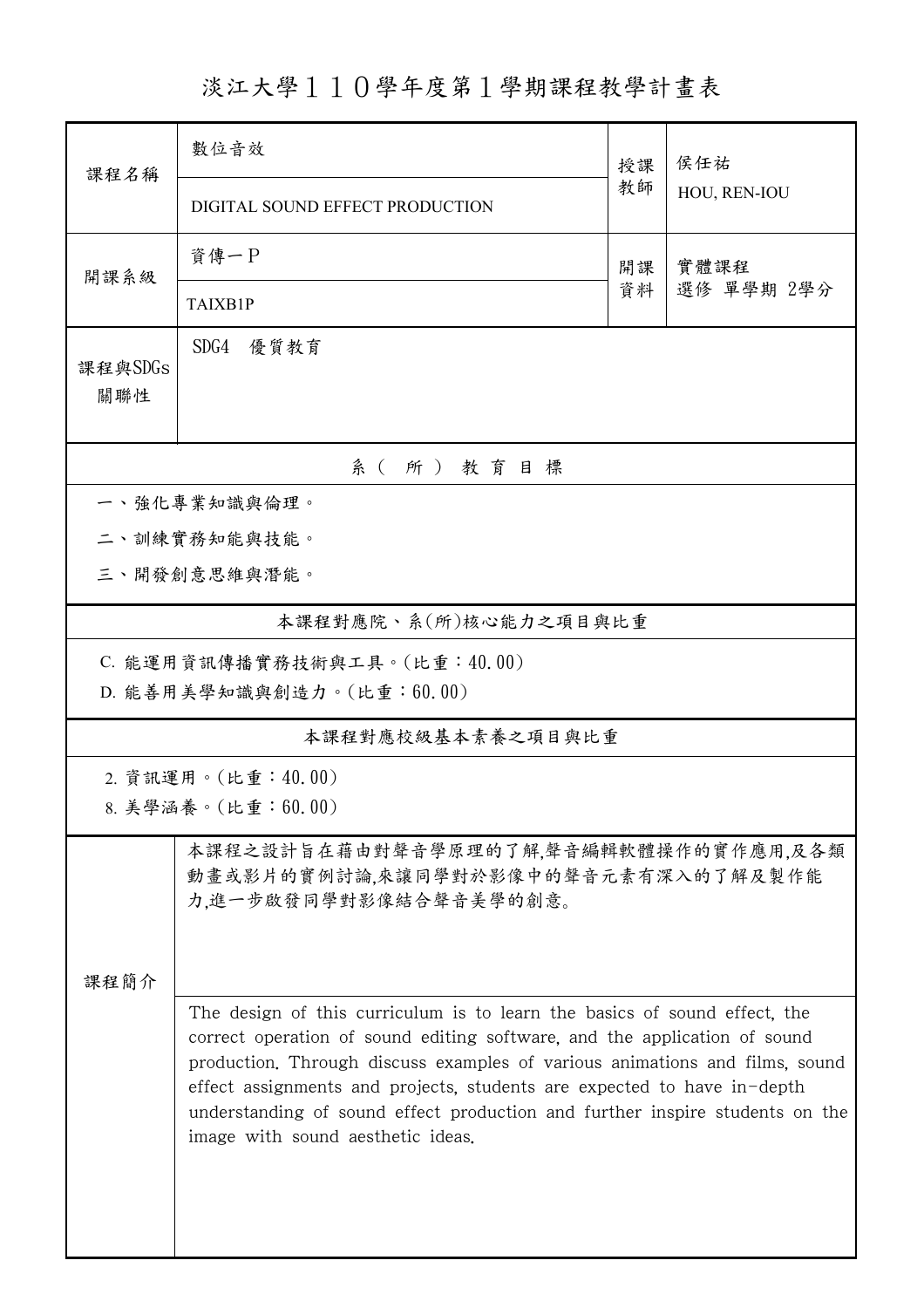淡江大學110學年度第1學期課程教學計畫表

| 課程名稱                                                                                                   | 數位音效                                                                                                                                                                                                                                                                                                                                                                                                                                  | 授課         | 侯任祐<br>HOU, REN-IOU |  |  |  |  |  |
|--------------------------------------------------------------------------------------------------------|---------------------------------------------------------------------------------------------------------------------------------------------------------------------------------------------------------------------------------------------------------------------------------------------------------------------------------------------------------------------------------------------------------------------------------------|------------|---------------------|--|--|--|--|--|
|                                                                                                        | DIGITAL SOUND EFFECT PRODUCTION                                                                                                                                                                                                                                                                                                                                                                                                       | 教師         |                     |  |  |  |  |  |
| 開課系級                                                                                                   | 資傳一P                                                                                                                                                                                                                                                                                                                                                                                                                                  | 實體課程<br>開課 |                     |  |  |  |  |  |
|                                                                                                        | <b>TAIXB1P</b>                                                                                                                                                                                                                                                                                                                                                                                                                        | 資料         | 選修 單學期 2學分          |  |  |  |  |  |
| 課程與SDGs<br>關聯性                                                                                         | SDG4<br>優質教育                                                                                                                                                                                                                                                                                                                                                                                                                          |            |                     |  |  |  |  |  |
| 系(所)教育目標                                                                                               |                                                                                                                                                                                                                                                                                                                                                                                                                                       |            |                     |  |  |  |  |  |
| 一、強化專業知識與倫理。                                                                                           |                                                                                                                                                                                                                                                                                                                                                                                                                                       |            |                     |  |  |  |  |  |
| 二、訓練實務知能與技能。                                                                                           |                                                                                                                                                                                                                                                                                                                                                                                                                                       |            |                     |  |  |  |  |  |
|                                                                                                        | 三、開發創意思維與潛能。                                                                                                                                                                                                                                                                                                                                                                                                                          |            |                     |  |  |  |  |  |
| 本課程對應院、系(所)核心能力之項目與比重                                                                                  |                                                                                                                                                                                                                                                                                                                                                                                                                                       |            |                     |  |  |  |  |  |
| C. 能運用資訊傳播實務技術與工具。(比重:40.00)<br>D. 能善用美學知識與創造力。(比重:60.00)                                              |                                                                                                                                                                                                                                                                                                                                                                                                                                       |            |                     |  |  |  |  |  |
| 本課程對應校級基本素養之項目與比重                                                                                      |                                                                                                                                                                                                                                                                                                                                                                                                                                       |            |                     |  |  |  |  |  |
| 2. 資訊運用。(比重:40.00)<br>8. 美學涵養。(比重:60.00)                                                               |                                                                                                                                                                                                                                                                                                                                                                                                                                       |            |                     |  |  |  |  |  |
| 本課程之設計旨在藉由對聲音學原理的了解,聲音編輯軟體操作的實作應用,及各類<br>動畫或影片的實例討論,來讓同學對於影像中的聲音元素有深入的了解及製作能<br>力,進一步啟發同學對影像結合聲音美學的創意。 |                                                                                                                                                                                                                                                                                                                                                                                                                                       |            |                     |  |  |  |  |  |
| 课程简介                                                                                                   | The design of this curriculum is to learn the basics of sound effect, the<br>correct operation of sound editing software, and the application of sound<br>production. Through discuss examples of various animations and films, sound<br>effect assignments and projects, students are expected to have in-depth<br>understanding of sound effect production and further inspire students on the<br>image with sound aesthetic ideas. |            |                     |  |  |  |  |  |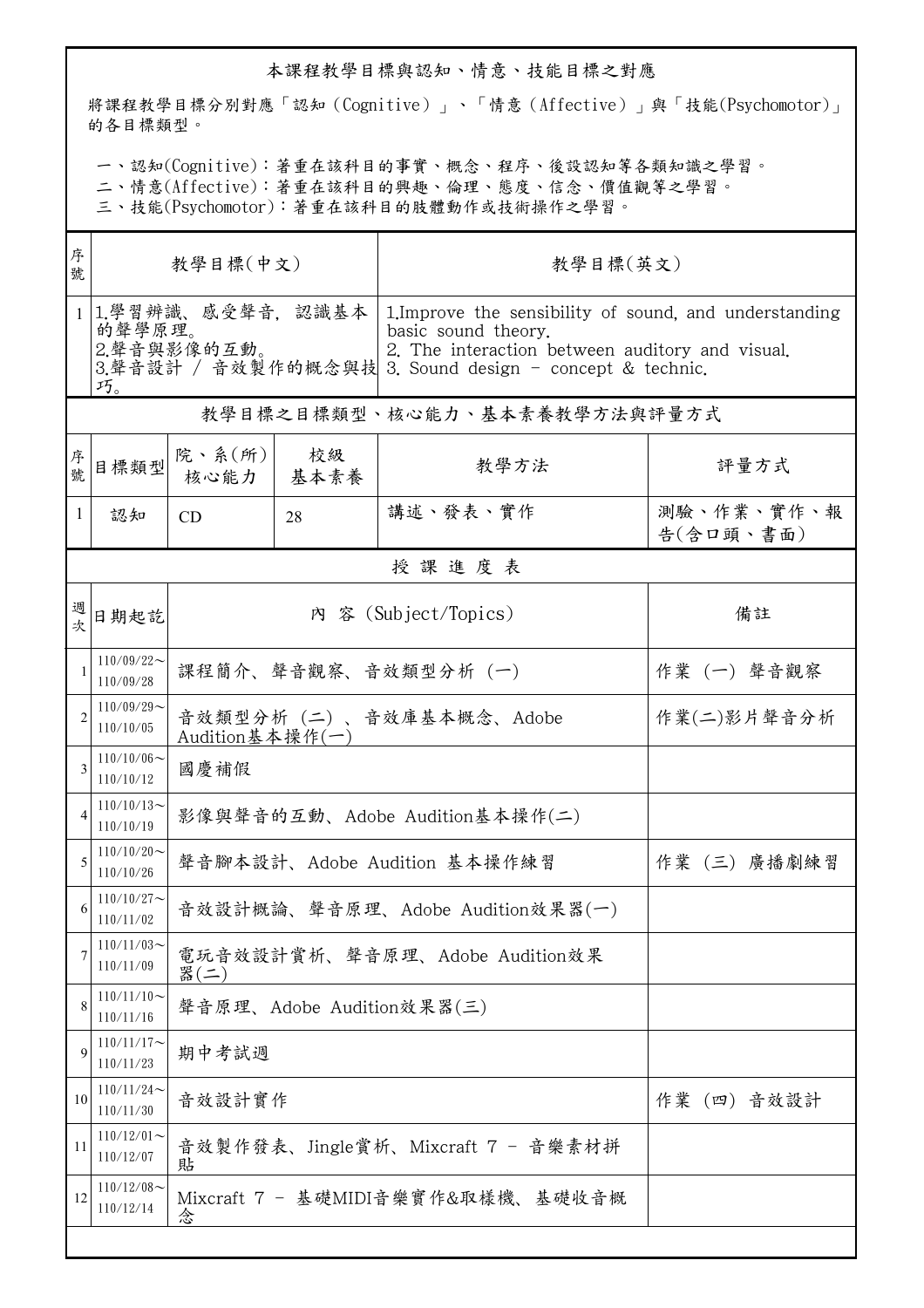## 本課程教學目標與認知、情意、技能目標之對應

將課程教學目標分別對應「認知(Cognitive)」、「情意(Affective)」與「技能(Psychomotor)」 的各目標類型。

一、認知(Cognitive):著重在該科目的事實、概念、程序、後設認知等各類知識之學習。

二、情意(Affective):著重在該科目的興趣、倫理、態度、信念、價值觀等之學習。

三、技能(Psychomotor):著重在該科目的肢體動作或技術操作之學習。

| 序<br>號                        | 教學目標(中文)                                           |                                         |                                | 教學目標(英文)                                                                                                                                                                                    |                         |  |  |  |  |
|-------------------------------|----------------------------------------------------|-----------------------------------------|--------------------------------|---------------------------------------------------------------------------------------------------------------------------------------------------------------------------------------------|-------------------------|--|--|--|--|
|                               | 1 1.學習辨識、感受聲音, 認識基本<br>的聲學原理。<br>2.聲音與影像的互動。<br>巧。 |                                         |                                | 1. Improve the sensibility of sound, and understanding<br>basic sound theory.<br>2. The interaction between auditory and visual.<br>3.聲音設計 / 音效製作的概念與技 3. Sound design - concept & technic. |                         |  |  |  |  |
|                               | 教學目標之目標類型、核心能力、基本素養教學方法與評量方式                       |                                         |                                |                                                                                                                                                                                             |                         |  |  |  |  |
| 序號                            | 目標類型                                               | 院、系(所)<br>核心能力                          | 校級<br>基本素養                     | 教學方法                                                                                                                                                                                        | 評量方式                    |  |  |  |  |
| 1                             | 認知                                                 | <b>CD</b>                               | 28                             | 講述、發表、實作                                                                                                                                                                                    | 測驗、作業、實作、報<br>告(含口頭、書面) |  |  |  |  |
|                               | 授課進度表                                              |                                         |                                |                                                                                                                                                                                             |                         |  |  |  |  |
| 週<br>坎                        | 日期起訖                                               | 內 容 (Subject/Topics)                    |                                | 備註                                                                                                                                                                                          |                         |  |  |  |  |
|                               | $110/09/22$ ~<br>110/09/28                         | 課程簡介、聲音觀察、音效類型分析 (一)                    |                                |                                                                                                                                                                                             | 作業 (一) 聲音觀察             |  |  |  |  |
| $\mathfrak{D}_{\mathfrak{p}}$ | $110/09/29$ ~<br>110/10/05                         | Audition基本操作 $(-)$                      | 音效類型分析(二)、音效庫基本概念、Adobe        | 作業(二)影片聲音分析                                                                                                                                                                                 |                         |  |  |  |  |
| 3                             | $110/10/06 \sim$<br>110/10/12                      | 國慶補假                                    |                                |                                                                                                                                                                                             |                         |  |  |  |  |
|                               | $110/10/13$ ~<br>110/10/19                         |                                         | 影像與聲音的互動、Adobe Audition基本操作(二) |                                                                                                                                                                                             |                         |  |  |  |  |
| 5                             | $110/10/20$ ~<br>110/10/26                         |                                         | 聲音腳本設計、Adobe Audition 基本操作練習   | 作業 (三) 廣播劇練習                                                                                                                                                                                |                         |  |  |  |  |
| 6                             | $110/10/27$ ~<br>110/11/02                         | 音效設計概論、聲音原理、Adobe Audition效果器(一)        |                                |                                                                                                                                                                                             |                         |  |  |  |  |
|                               | $110/11/03$ ~<br>110/11/09                         | 電玩音效設計賞析、聲音原理、Adobe Audition效果<br>器(二)  |                                |                                                                                                                                                                                             |                         |  |  |  |  |
| 8                             | $110/11/10$ ~<br>110/11/16                         | 聲音原理、Adobe Audition效果器(三)               |                                |                                                                                                                                                                                             |                         |  |  |  |  |
| $\mathbf Q$                   | $110/11/17$ ~<br>110/11/23                         | 期中考試週                                   |                                |                                                                                                                                                                                             |                         |  |  |  |  |
| 10                            | $110/11/24$ ~<br>110/11/30                         | 音效設計實作                                  |                                | 作業(四)音效設計                                                                                                                                                                                   |                         |  |  |  |  |
| 11                            | $110/12/01$ ~<br>110/12/07                         | 音效製作發表、Jingle賞析、Mixcraft 7 - 音樂素材拼<br>貼 |                                |                                                                                                                                                                                             |                         |  |  |  |  |
| 12                            | $110/12/08$ ~<br>110/12/14                         | Mixcraft 7 - 基礎MIDI音樂實作&取樣機、基礎收音概<br>念  |                                |                                                                                                                                                                                             |                         |  |  |  |  |
|                               |                                                    |                                         |                                |                                                                                                                                                                                             |                         |  |  |  |  |